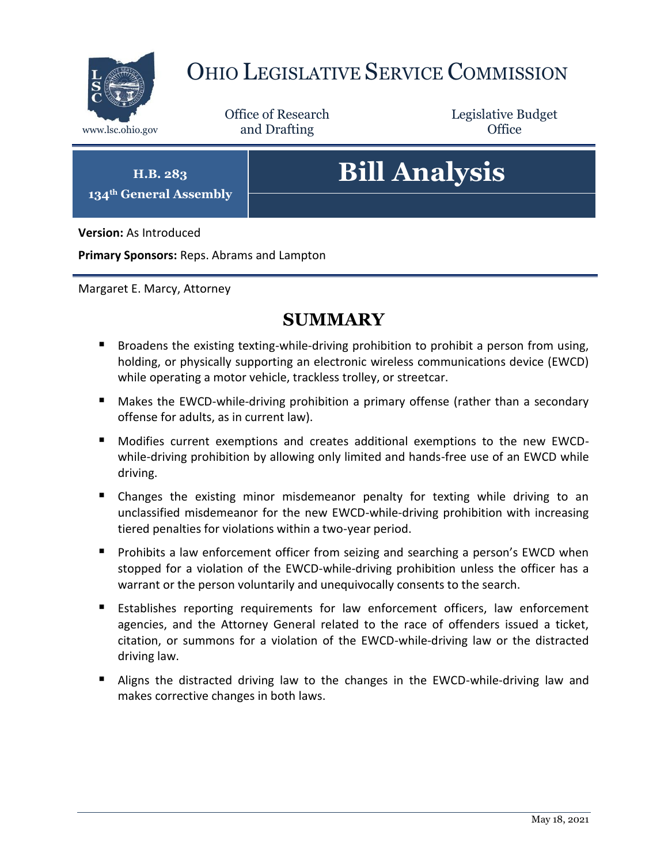

## OHIO LEGISLATIVE SERVICE COMMISSION

Office of Research www.lsc.ohio.gov **and Drafting Office** 

Legislative Budget

**H.B. 283 134th General Assembly**

# **Bill Analysis**

**Version:** As Introduced

**Primary Sponsors:** Reps. Abrams and Lampton

Margaret E. Marcy, Attorney

## **SUMMARY**

- **Broadens the existing texting-while-driving prohibition to prohibit a person from using,** holding, or physically supporting an electronic wireless communications device (EWCD) while operating a motor vehicle, trackless trolley, or streetcar.
- **Makes the EWCD-while-driving prohibition a primary offense (rather than a secondary** offense for adults, as in current law).
- Modifies current exemptions and creates additional exemptions to the new EWCDwhile-driving prohibition by allowing only limited and hands-free use of an EWCD while driving.
- Changes the existing minor misdemeanor penalty for texting while driving to an unclassified misdemeanor for the new EWCD-while-driving prohibition with increasing tiered penalties for violations within a two-year period.
- **Prohibits a law enforcement officer from seizing and searching a person's EWCD when** stopped for a violation of the EWCD-while-driving prohibition unless the officer has a warrant or the person voluntarily and unequivocally consents to the search.
- Establishes reporting requirements for law enforcement officers, law enforcement agencies, and the Attorney General related to the race of offenders issued a ticket, citation, or summons for a violation of the EWCD-while-driving law or the distracted driving law.
- Aligns the distracted driving law to the changes in the EWCD-while-driving law and makes corrective changes in both laws.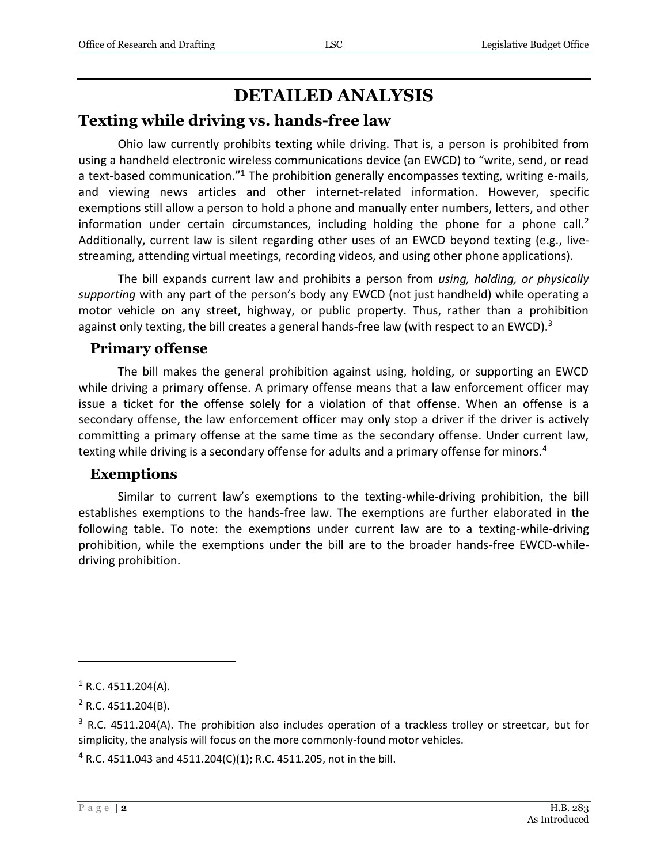## **DETAILED ANALYSIS**

#### **Texting while driving vs. hands-free law**

Ohio law currently prohibits texting while driving. That is, a person is prohibited from using a handheld electronic wireless communications device (an EWCD) to "write, send, or read a text-based communication."<sup>1</sup> The prohibition generally encompasses texting, writing e-mails, and viewing news articles and other internet-related information. However, specific exemptions still allow a person to hold a phone and manually enter numbers, letters, and other information under certain circumstances, including holding the phone for a phone call.<sup>2</sup> Additionally, current law is silent regarding other uses of an EWCD beyond texting (e.g., livestreaming, attending virtual meetings, recording videos, and using other phone applications).

The bill expands current law and prohibits a person from *using, holding, or physically supporting* with any part of the person's body any EWCD (not just handheld) while operating a motor vehicle on any street, highway, or public property. Thus, rather than a prohibition against only texting, the bill creates a general hands-free law (with respect to an EWCD).<sup>3</sup>

#### **Primary offense**

The bill makes the general prohibition against using, holding, or supporting an EWCD while driving a primary offense. A primary offense means that a law enforcement officer may issue a ticket for the offense solely for a violation of that offense. When an offense is a secondary offense, the law enforcement officer may only stop a driver if the driver is actively committing a primary offense at the same time as the secondary offense. Under current law, texting while driving is a secondary offense for adults and a primary offense for minors.<sup>4</sup>

#### **Exemptions**

Similar to current law's exemptions to the texting-while-driving prohibition, the bill establishes exemptions to the hands-free law. The exemptions are further elaborated in the following table. To note: the exemptions under current law are to a texting-while-driving prohibition, while the exemptions under the bill are to the broader hands-free EWCD-whiledriving prohibition.

 $1$  R.C. 4511.204(A).

 $2$  R.C. 4511.204(B).

 $3$  R.C. 4511.204(A). The prohibition also includes operation of a trackless trolley or streetcar, but for simplicity, the analysis will focus on the more commonly-found motor vehicles.

 $4$  R.C. 4511.043 and 4511.204(C)(1); R.C. 4511.205, not in the bill.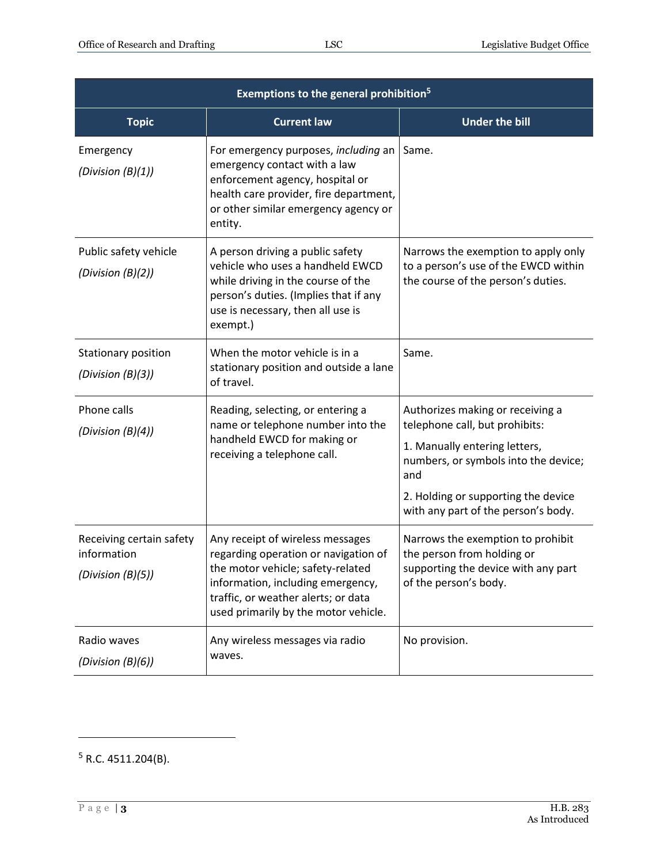| <b>Exemptions to the general prohibition<sup>5</sup></b>     |                                                                                                                                                                                                                                   |                                                                                                                                                                                                                                  |  |  |
|--------------------------------------------------------------|-----------------------------------------------------------------------------------------------------------------------------------------------------------------------------------------------------------------------------------|----------------------------------------------------------------------------------------------------------------------------------------------------------------------------------------------------------------------------------|--|--|
| <b>Topic</b>                                                 | <b>Current law</b>                                                                                                                                                                                                                | <b>Under the bill</b>                                                                                                                                                                                                            |  |  |
| Emergency<br>(Division $(B)(1)$ )                            | For emergency purposes, including an<br>emergency contact with a law<br>enforcement agency, hospital or<br>health care provider, fire department,<br>or other similar emergency agency or<br>entity.                              | Same.                                                                                                                                                                                                                            |  |  |
| Public safety vehicle<br>(Division $(B)(2)$ )                | A person driving a public safety<br>vehicle who uses a handheld EWCD<br>while driving in the course of the<br>person's duties. (Implies that if any<br>use is necessary, then all use is<br>exempt.)                              | Narrows the exemption to apply only<br>to a person's use of the EWCD within<br>the course of the person's duties.                                                                                                                |  |  |
| Stationary position<br>(Division (B)(3))                     | When the motor vehicle is in a<br>stationary position and outside a lane<br>of travel.                                                                                                                                            | Same.                                                                                                                                                                                                                            |  |  |
| Phone calls<br>(Division $(B)(4)$ )                          | Reading, selecting, or entering a<br>name or telephone number into the<br>handheld EWCD for making or<br>receiving a telephone call.                                                                                              | Authorizes making or receiving a<br>telephone call, but prohibits:<br>1. Manually entering letters,<br>numbers, or symbols into the device;<br>and<br>2. Holding or supporting the device<br>with any part of the person's body. |  |  |
| Receiving certain safety<br>information<br>(Division (B)(5)) | Any receipt of wireless messages<br>regarding operation or navigation of<br>the motor vehicle; safety-related<br>information, including emergency,<br>traffic, or weather alerts; or data<br>used primarily by the motor vehicle. | Narrows the exemption to prohibit<br>the person from holding or<br>supporting the device with any part<br>of the person's body.                                                                                                  |  |  |
| Radio waves<br>(Division $(B)(6)$ )                          | Any wireless messages via radio<br>waves.                                                                                                                                                                                         | No provision.                                                                                                                                                                                                                    |  |  |

 $5$  R.C. 4511.204(B).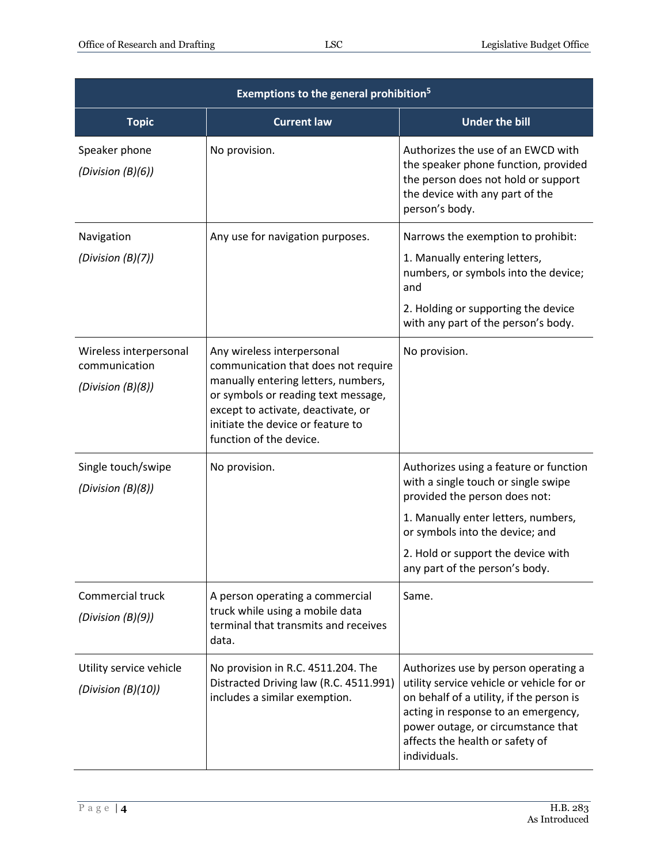| Exemptions to the general prohibition <sup>5</sup>           |                                                                                                                                                                                                                                                       |                                                                                                                                                                                                                                                               |  |  |
|--------------------------------------------------------------|-------------------------------------------------------------------------------------------------------------------------------------------------------------------------------------------------------------------------------------------------------|---------------------------------------------------------------------------------------------------------------------------------------------------------------------------------------------------------------------------------------------------------------|--|--|
| <b>Topic</b>                                                 | <b>Current law</b>                                                                                                                                                                                                                                    | <b>Under the bill</b>                                                                                                                                                                                                                                         |  |  |
| Speaker phone<br>(Division $(B)(6)$ )                        | No provision.                                                                                                                                                                                                                                         | Authorizes the use of an EWCD with<br>the speaker phone function, provided<br>the person does not hold or support<br>the device with any part of the<br>person's body.                                                                                        |  |  |
| Navigation<br>(Division $(B)(7)$ )                           | Any use for navigation purposes.                                                                                                                                                                                                                      | Narrows the exemption to prohibit:<br>1. Manually entering letters,<br>numbers, or symbols into the device;<br>and<br>2. Holding or supporting the device<br>with any part of the person's body.                                                              |  |  |
| Wireless interpersonal<br>communication<br>(Division (B)(8)) | Any wireless interpersonal<br>communication that does not require<br>manually entering letters, numbers,<br>or symbols or reading text message,<br>except to activate, deactivate, or<br>initiate the device or feature to<br>function of the device. | No provision.                                                                                                                                                                                                                                                 |  |  |
| Single touch/swipe<br>(Division (B)(8))                      | No provision.                                                                                                                                                                                                                                         | Authorizes using a feature or function<br>with a single touch or single swipe<br>provided the person does not:                                                                                                                                                |  |  |
|                                                              |                                                                                                                                                                                                                                                       | 1. Manually enter letters, numbers,<br>or symbols into the device; and                                                                                                                                                                                        |  |  |
|                                                              |                                                                                                                                                                                                                                                       | 2. Hold or support the device with<br>any part of the person's body.                                                                                                                                                                                          |  |  |
| Commercial truck<br>(Division (B)(9))                        | A person operating a commercial<br>truck while using a mobile data<br>terminal that transmits and receives<br>data.                                                                                                                                   | Same.                                                                                                                                                                                                                                                         |  |  |
| Utility service vehicle<br>(Division $(B)(10)$ )             | No provision in R.C. 4511.204. The<br>Distracted Driving law (R.C. 4511.991)<br>includes a similar exemption.                                                                                                                                         | Authorizes use by person operating a<br>utility service vehicle or vehicle for or<br>on behalf of a utility, if the person is<br>acting in response to an emergency,<br>power outage, or circumstance that<br>affects the health or safety of<br>individuals. |  |  |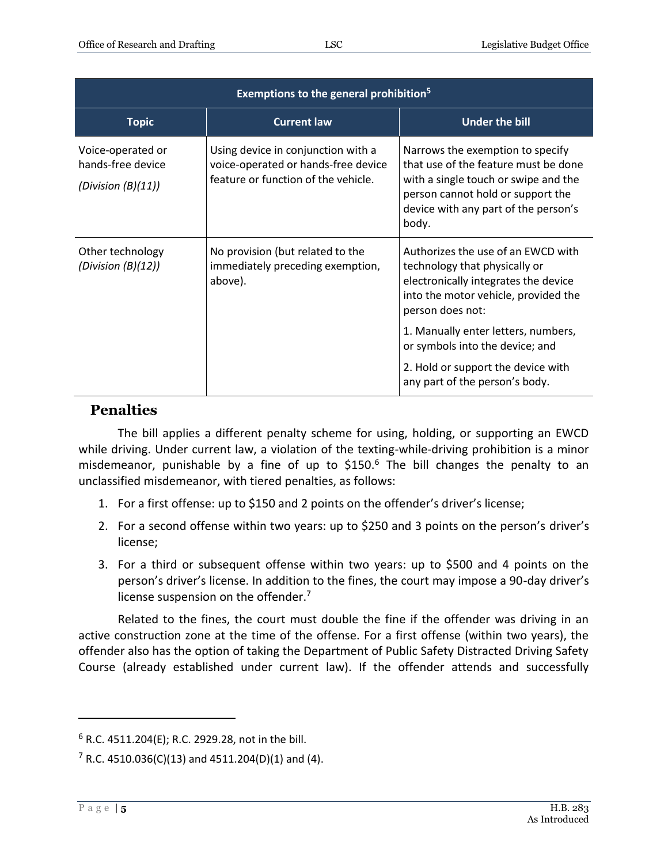| Exemptions to the general prohibition <sup>5</sup>              |                                                                                                                  |                                                                                                                                                                                                        |  |  |
|-----------------------------------------------------------------|------------------------------------------------------------------------------------------------------------------|--------------------------------------------------------------------------------------------------------------------------------------------------------------------------------------------------------|--|--|
| <b>Topic</b>                                                    | <b>Current law</b>                                                                                               | <b>Under the bill</b>                                                                                                                                                                                  |  |  |
| Voice-operated or<br>hands-free device<br>(Division $(B)(11)$ ) | Using device in conjunction with a<br>voice-operated or hands-free device<br>feature or function of the vehicle. | Narrows the exemption to specify<br>that use of the feature must be done<br>with a single touch or swipe and the<br>person cannot hold or support the<br>device with any part of the person's<br>body. |  |  |
| Other technology<br>(Division $(B)(12)$ )                       | No provision (but related to the<br>immediately preceding exemption,<br>above).                                  | Authorizes the use of an EWCD with<br>technology that physically or<br>electronically integrates the device<br>into the motor vehicle, provided the<br>person does not:                                |  |  |
|                                                                 |                                                                                                                  | 1. Manually enter letters, numbers,<br>or symbols into the device; and                                                                                                                                 |  |  |
|                                                                 |                                                                                                                  | 2. Hold or support the device with<br>any part of the person's body.                                                                                                                                   |  |  |

#### **Penalties**

The bill applies a different penalty scheme for using, holding, or supporting an EWCD while driving. Under current law, a violation of the texting-while-driving prohibition is a minor misdemeanor, punishable by a fine of up to  $$150<sup>6</sup>$  The bill changes the penalty to an unclassified misdemeanor, with tiered penalties, as follows:

- 1. For a first offense: up to \$150 and 2 points on the offender's driver's license;
- 2. For a second offense within two years: up to \$250 and 3 points on the person's driver's license;
- 3. For a third or subsequent offense within two years: up to \$500 and 4 points on the person's driver's license. In addition to the fines, the court may impose a 90-day driver's license suspension on the offender.<sup>7</sup>

Related to the fines, the court must double the fine if the offender was driving in an active construction zone at the time of the offense. For a first offense (within two years), the offender also has the option of taking the Department of Public Safety Distracted Driving Safety Course (already established under current law). If the offender attends and successfully

<sup>6</sup> R.C. 4511.204(E); R.C. 2929.28, not in the bill.

 $7 R.C. 4510.036(C)(13)$  and 4511.204(D)(1) and (4).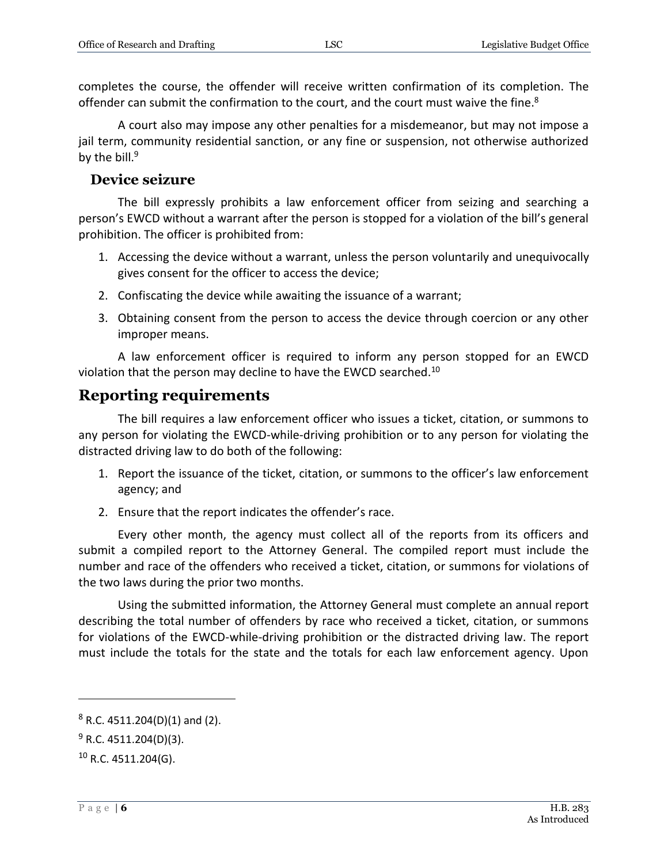completes the course, the offender will receive written confirmation of its completion. The offender can submit the confirmation to the court, and the court must waive the fine.<sup>8</sup>

A court also may impose any other penalties for a misdemeanor, but may not impose a jail term, community residential sanction, or any fine or suspension, not otherwise authorized by the bill. $9$ 

#### **Device seizure**

The bill expressly prohibits a law enforcement officer from seizing and searching a person's EWCD without a warrant after the person is stopped for a violation of the bill's general prohibition. The officer is prohibited from:

- 1. Accessing the device without a warrant, unless the person voluntarily and unequivocally gives consent for the officer to access the device;
- 2. Confiscating the device while awaiting the issuance of a warrant;
- 3. Obtaining consent from the person to access the device through coercion or any other improper means.

A law enforcement officer is required to inform any person stopped for an EWCD violation that the person may decline to have the EWCD searched.<sup>10</sup>

#### **Reporting requirements**

The bill requires a law enforcement officer who issues a ticket, citation, or summons to any person for violating the EWCD-while-driving prohibition or to any person for violating the distracted driving law to do both of the following:

- 1. Report the issuance of the ticket, citation, or summons to the officer's law enforcement agency; and
- 2. Ensure that the report indicates the offender's race.

Every other month, the agency must collect all of the reports from its officers and submit a compiled report to the Attorney General. The compiled report must include the number and race of the offenders who received a ticket, citation, or summons for violations of the two laws during the prior two months.

Using the submitted information, the Attorney General must complete an annual report describing the total number of offenders by race who received a ticket, citation, or summons for violations of the EWCD-while-driving prohibition or the distracted driving law. The report must include the totals for the state and the totals for each law enforcement agency. Upon

<sup>8</sup> R.C. 4511.204(D)(1) and (2).

 $9$  R.C. 4511.204(D)(3).

 $10$  R.C. 4511.204(G).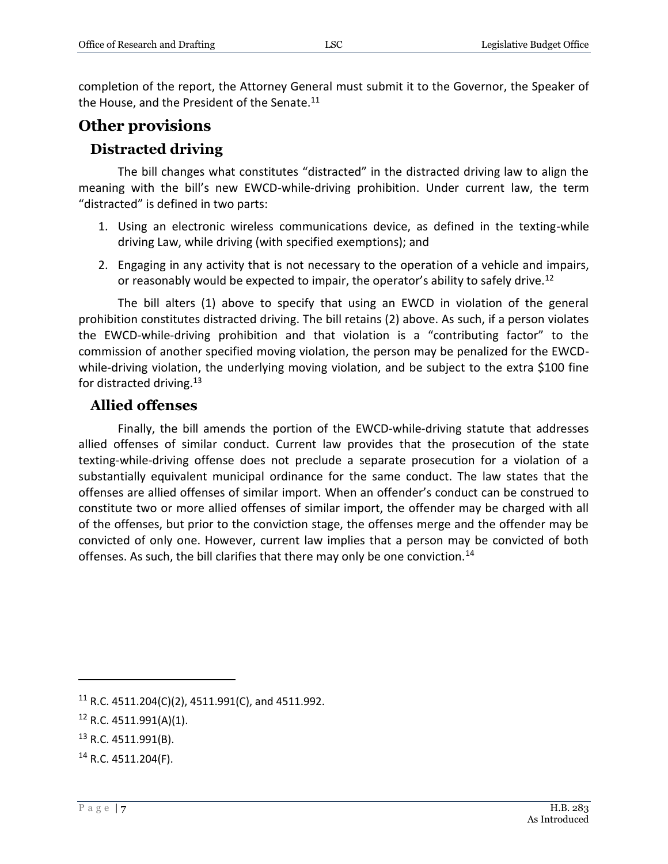completion of the report, the Attorney General must submit it to the Governor, the Speaker of the House, and the President of the Senate.<sup>11</sup>

### **Other provisions**

#### **Distracted driving**

The bill changes what constitutes "distracted" in the distracted driving law to align the meaning with the bill's new EWCD-while-driving prohibition. Under current law, the term "distracted" is defined in two parts:

- 1. Using an electronic wireless communications device, as defined in the texting-while driving Law, while driving (with specified exemptions); and
- 2. Engaging in any activity that is not necessary to the operation of a vehicle and impairs, or reasonably would be expected to impair, the operator's ability to safely drive.<sup>12</sup>

The bill alters (1) above to specify that using an EWCD in violation of the general prohibition constitutes distracted driving. The bill retains (2) above. As such, if a person violates the EWCD-while-driving prohibition and that violation is a "contributing factor" to the commission of another specified moving violation, the person may be penalized for the EWCDwhile-driving violation, the underlying moving violation, and be subject to the extra \$100 fine for distracted driving.<sup>13</sup>

#### **Allied offenses**

Finally, the bill amends the portion of the EWCD-while-driving statute that addresses allied offenses of similar conduct. Current law provides that the prosecution of the state texting-while-driving offense does not preclude a separate prosecution for a violation of a substantially equivalent municipal ordinance for the same conduct. The law states that the offenses are allied offenses of similar import. When an offender's conduct can be construed to constitute two or more allied offenses of similar import, the offender may be charged with all of the offenses, but prior to the conviction stage, the offenses merge and the offender may be convicted of only one. However, current law implies that a person may be convicted of both offenses. As such, the bill clarifies that there may only be one conviction.<sup>14</sup>

<sup>&</sup>lt;sup>11</sup> R.C. 4511.204(C)(2), 4511.991(C), and 4511.992.

<sup>12</sup> R.C. 4511.991(A)(1).

<sup>13</sup> R.C. 4511.991(B).

<sup>14</sup> R.C. 4511.204(F).